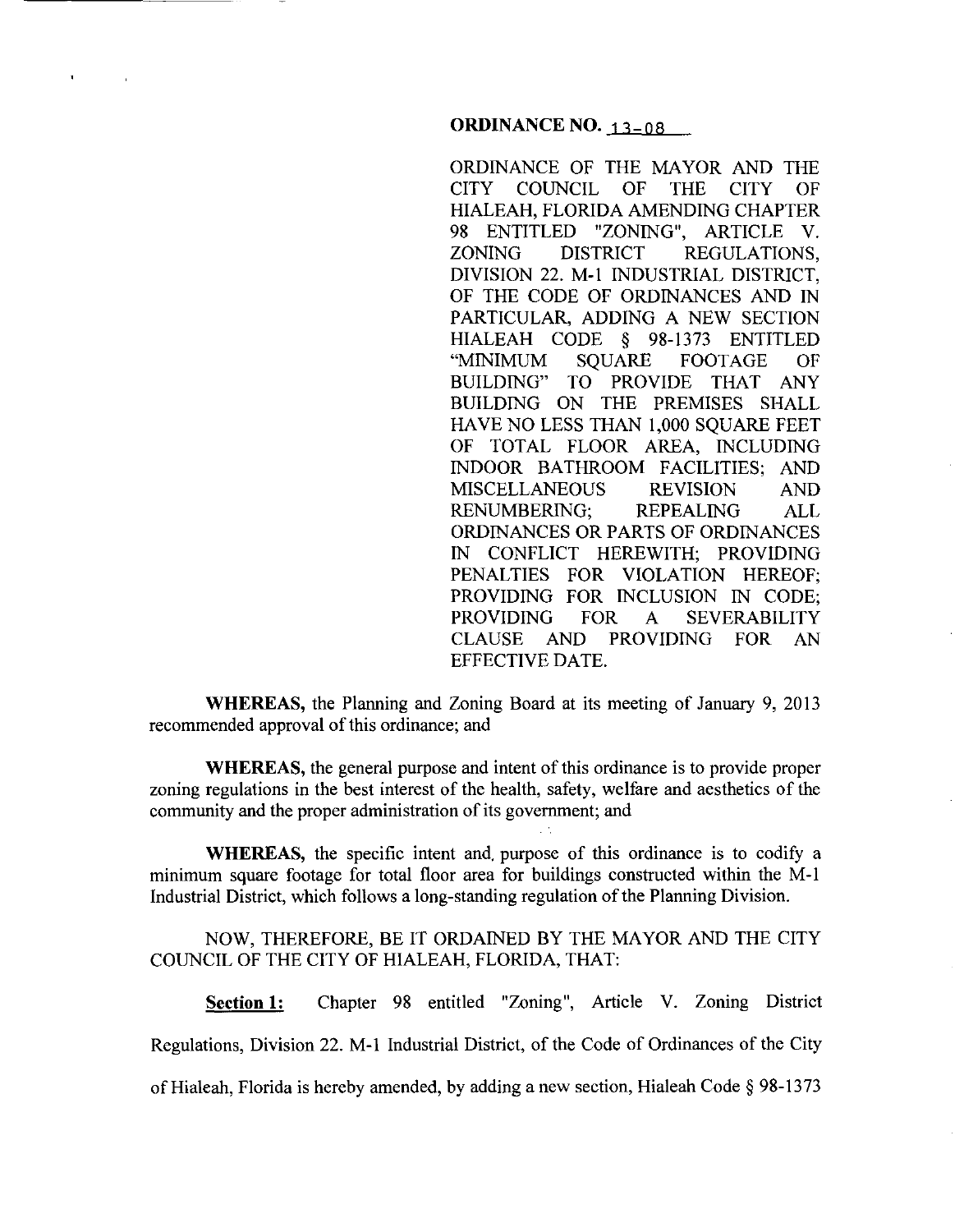## **ORDINANCE NO. 13-08**

ORDINANCE OF THE MAYOR AND THE CITY COUNCIL OF THE CITY OF HIALEAH, FLORIDA AMENDING CHAPTER 98 ENTITLED "ZONING", ARTICLE V. ZONING DISTRICT REGULATIONS, DIVISION 22. M-1 INDUSTRIAL DISTRICT, OF THE CODE OF ORDINANCES AND IN PARTICULAR, ADDING A NEW SECTION HIALEAH CODE § 98-1373 ENTITLED "MINIMUM SQUARE FOOTAGE OF BUILDING" TO PROVIDE THAT ANY BUILDING ON THE PREMISES SHALL HAVE NO LESS THAN 1,000 SQUARE FEET OF TOTAL FLOOR AREA, INCLUDING INDOOR BATHROOM FACILITIES; AND MISCELLANEOUS REVISION AND RENUMBERING; REPEALING ALL ORDINANCES OR PARTS OF ORDINANCES IN CONFLICT HEREWITH; PROVIDING PENALTIES FOR VIOLATION HEREOF; PROVIDING FOR INCLUSION IN CODE; PROVIDING FOR A SEVERABILITY CLAUSE AND PROVIDING FOR AN EFFECTIVE DATE.

**WHEREAS,** the Planning and Zoning Board at its meeting of January 9, 2013 recommended approval of this ordinance; and

**WHEREAS,** the general purpose and intent of this ordinance is to provide proper zoning regulations in the best interest of the health, safety, welfare and aesthetics of the community and the proper administration of its government; and

**WHEREAS,** the specific intent and. purpose of this ordinance is to codify a minimum square footage for total floor area for buildings constructed within the M-1 Industrial District, which follows a long-standing regulation of the Planning Division.

# NOW, THEREFORE, BE IT ORDAINED BY THE MAYOR AND THE CITY COUNCIL OF THE CITY OF HIALEAH, FLORIDA, THAT:

**Section 1:** Chapter 98 entitled "Zoning", Article V. Zoning District Regulations, Division 22. M-1 Industrial District, of the Code of Ordinances of the City of Hialeah, Florida is hereby amended, by adding a new section, Hialeah Code § 98-13 73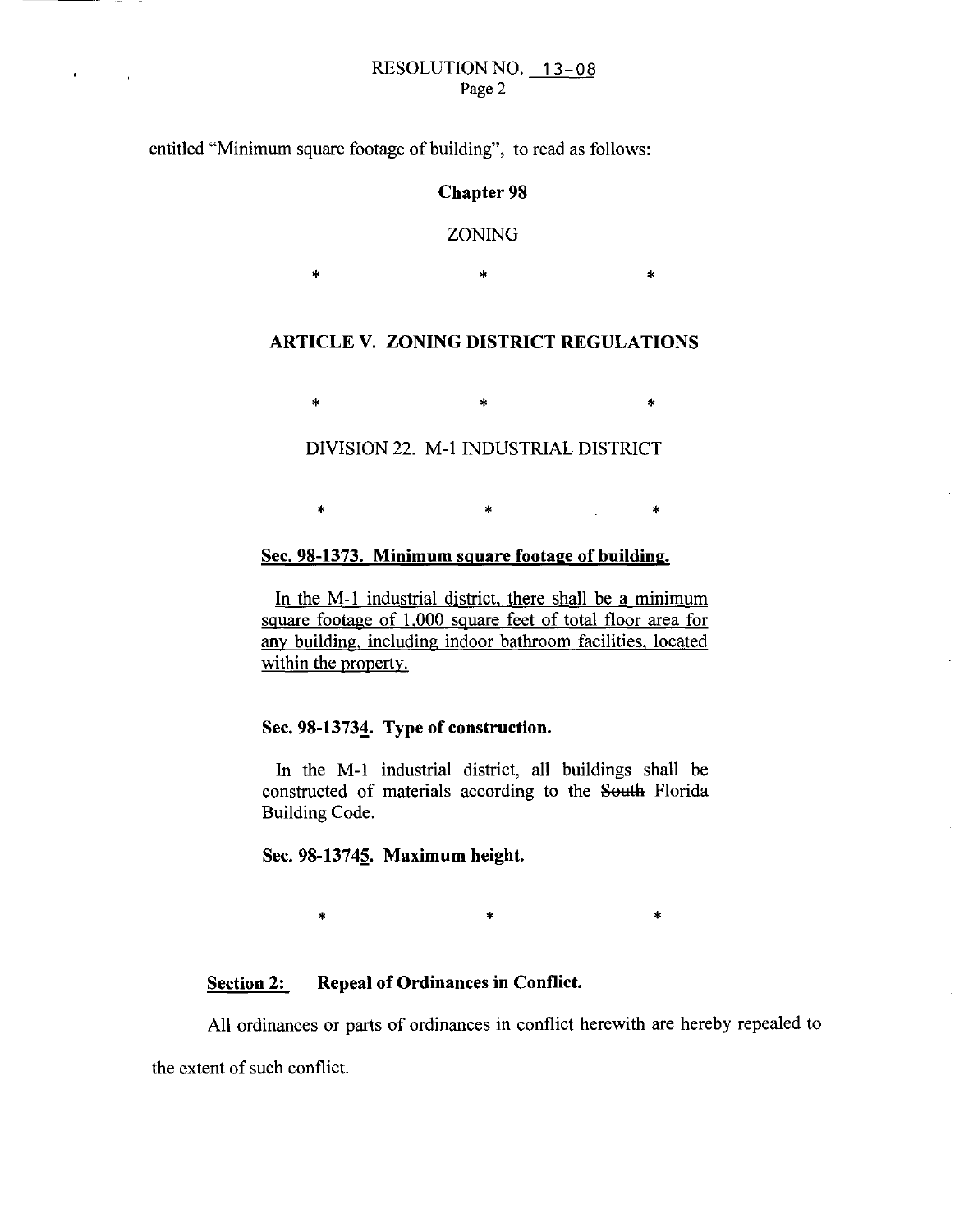#### RESOLUTION NO. 13-08 Page 2

entitled "Minimum square footage of building", to read as follows:

 $\mathbf{r}$ 

## **Chapter 98**

# ZONING

 $*$  \*  $*$  \*

# ARTICLE V. ZONING DISTRICT REGULATIONS

 $\begin{matrix} * & * \end{matrix}$ 

# DIVISION 22. M-1 INDUSTRIAL DISTRICT

 $\begin{array}{ccc} * & * & * \end{array}$ 

# Sec. 98-1373. Minimum square footage of building.

In the M-1 industrial district, there shall be a minimum square footage of 1,000 square feet of total floor area for any building, including indoor bathroom facilities, located within the property.

# Sec. 98-13734. Type of construction.

In the M-1 industrial district, all buildings shall be constructed of materials according to the South Florida Building Code.

### Sec. 98-13745. Maximum height.

\* \* \* \* \* \* \*

# Section 2: Repeal of Ordinances in Conflict.

All ordinances or parts of ordinances in conflict herewith are hereby repealed to

the extent of such conflict.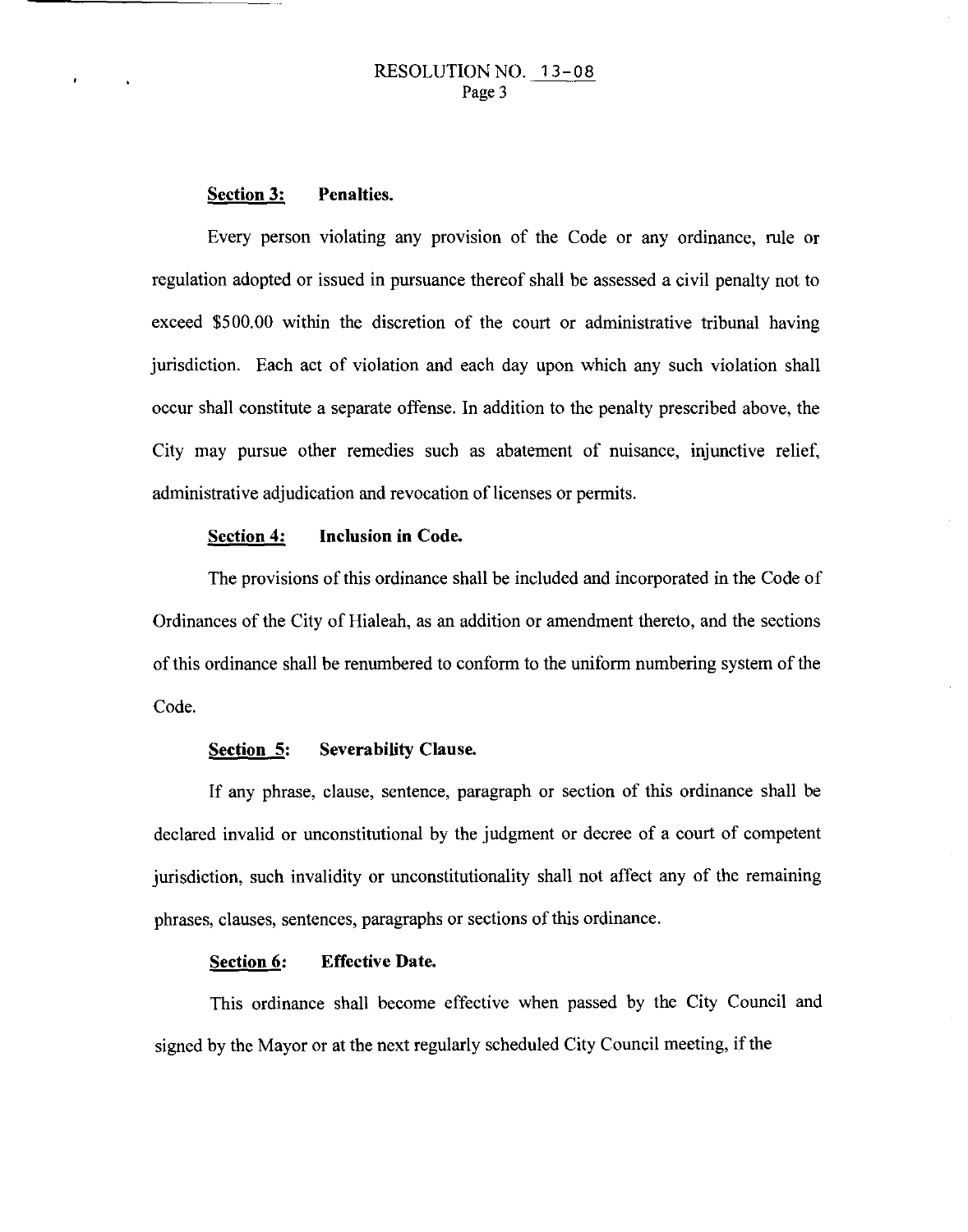## RESOLUTION NO. 13-08 Page 3

#### **Section 3: Penalties.**

Every person violating any provision of the Code or any ordinance, rule or regulation adopted or issued in pursuance thereof shall be assessed a civil penalty not to exceed \$500.00 within the discretion of the court or administrative tribunal having jurisdiction. Each act of violation and each day upon which any such violation shall occur shall constitute a separate offense. In addition to the penalty prescribed above, the City may pursue other remedies such as abatement of nuisance, injunctive relief, administrative adjudication and revocation of licenses or permits.

### **Section 4: Inclusion in Code.**

The provisions of this ordinance shall be included and incorporated in the Code of Ordinances of the City of Hialeah, as an addition or amendment thereto, and the sections of this ordinance shall be renumbered to conform to the uniform numbering system of the Code.

#### **Section 5: Severability Clause.**

If any phrase, clause, sentence, paragraph or section of this ordinance shall be declared invalid or unconstitutional by the judgment or decree of a court of competent jurisdiction, such invalidity or unconstitutionality shall not affect any of the remaining phrases, clauses, sentences, paragraphs or sections of this ordinance.

#### **Section 6: Effective Date.**

This ordinance shall become effective when passed by the City Council and signed by the Mayor or at the next regularly scheduled City Council meeting, if the